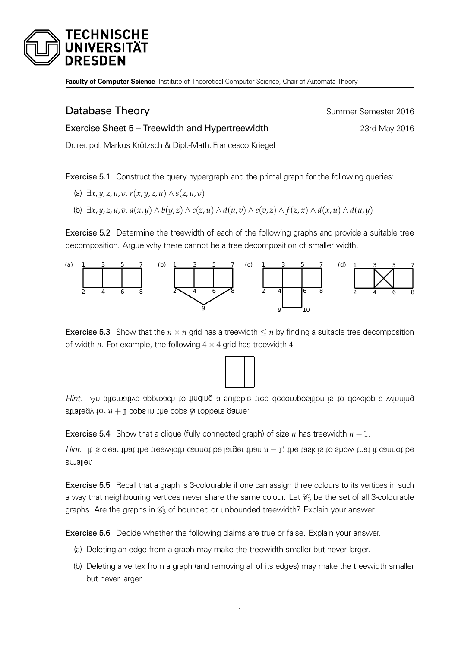

**Faculty of Computer Science** Institute of Theoretical Computer Science, Chair of Automata Theory

## **Database Theory Summer Semester 2016**

## Exercise Sheet 5 – Treewidth and Hypertreewidth 23rd May 2016

Dr. rer. pol.Markus Krötzsch & Dipl.-Math. Francesco Kriegel

Exercise 5.1 Construct the query hypergraph and the primal graph for the following queries:

- (a)  $\exists x, y, z, u, v, r(x, y, z, u) \wedge s(z, u, v)$
- (b)  $\exists x, y, z, u, v. a(x, y) \wedge b(y, z) \wedge c(z, u) \wedge d(u, v) \wedge e(v, z) \wedge f(z, x) \wedge d(x, u) \wedge d(u, y)$

<span id="page-0-0"></span>Exercise 5.2 Determine the treewidth of each of the following graphs and provide a suitable tree decomposition. Argue why there cannot be a tree decomposition of smaller width.



**Exercise 5.3** Show that the  $n \times n$  grid has a treewidth  $\leq n$  by finding a suitable tree decomposition of width  $n$ . For example, the following  $4 \times 4$  grid has treewidth  $4$ :



Hint. An alternative approach to finding <sup>a</sup> suitable tree decomposition is to develop <sup>a</sup> winning strategy for  $n + 1$  cops in the cops  $\&$  robbers game.

**Exercise 5.4** Show that a clique (fully connected graph) of size *n* has treewidth  $n - 1$ .

Hiut. It is clear that the treewidth cannot be larger than  $n-1$ ; the task is to show that it cannot be smaller.

Exercise 5.5 Recall that a graph is 3-colourable if one can assign three colours to its vertices in such a way that neighbouring vertices never share the same colour. Let  $\mathscr{C}_3$  be the set of all 3-colourable graphs. Are the graphs in  $\mathcal{C}_3$  of bounded or unbounded treewidth? Explain your answer.

Exercise 5.6 Decide whether the following claims are true or false. Explain your answer.

- (a) Deleting an edge from a graph may make the treewidth smaller but never larger.
- (b) Deleting a vertex from a graph (and removing all of its edges) may make the treewidth smaller but never larger.